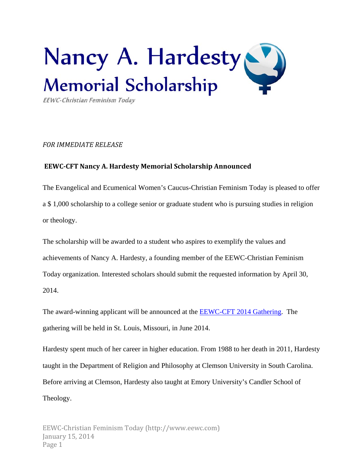

EEWC-Christian Feminism Today

## *FOR IMMEDIATE RELEASE*

## **EEWC‐CFT Nancy A. Hardesty Memorial Scholarship Announced**

The Evangelical and Ecumenical Women's Caucus-Christian Feminism Today is pleased to offer a \$ 1,000 scholarship to a college senior or graduate student who is pursuing studies in religion or theology.

The scholarship will be awarded to a student who aspires to exemplify the values and achievements of Nancy A. Hardesty, a founding member of the EEWC-Christian Feminism Today organization. Interested scholars should submit the requested information by April 30, 2014.

The award-winning applicant will be announced at the EEWC-CFT 2014 Gathering. The gathering will be held in St. Louis, Missouri, in June 2014.

Hardesty spent much of her career in higher education. From 1988 to her death in 2011, Hardesty taught in the Department of Religion and Philosophy at Clemson University in South Carolina. Before arriving at Clemson, Hardesty also taught at Emory University's Candler School of Theology.